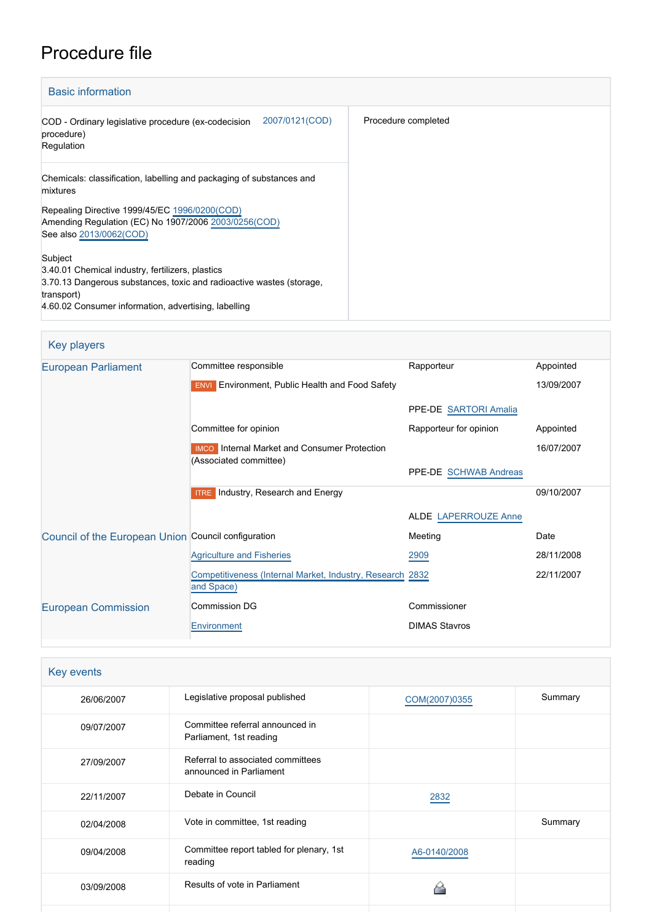# Procedure file

| <b>Basic information</b>                                                                                                                                                                                  |                     |
|-----------------------------------------------------------------------------------------------------------------------------------------------------------------------------------------------------------|---------------------|
| 2007/0121(COD)<br>COD - Ordinary legislative procedure (ex-codecision<br>procedure)<br>Regulation                                                                                                         | Procedure completed |
| Chemicals: classification, labelling and packaging of substances and<br>mixtures                                                                                                                          |                     |
| Repealing Directive 1999/45/EC 1996/0200(COD)<br>Amending Regulation (EC) No 1907/2006 2003/0256(COD)<br>See also 2013/0062(COD)                                                                          |                     |
| Subject<br>3.40.01 Chemical industry, fertilizers, plastics<br>3.70.13 Dangerous substances, toxic and radioactive wastes (storage,<br>transport)<br>4.60.02 Consumer information, advertising, labelling |                     |

| <b>Key players</b>                                  |                                                                               |                             |            |
|-----------------------------------------------------|-------------------------------------------------------------------------------|-----------------------------|------------|
| <b>European Parliament</b>                          | Committee responsible                                                         | Rapporteur                  | Appointed  |
|                                                     | Environment, Public Health and Food Safety<br><b>ENVI</b>                     |                             | 13/09/2007 |
|                                                     |                                                                               | PPE-DE SARTORI Amalia       |            |
|                                                     | Committee for opinion                                                         | Rapporteur for opinion      | Appointed  |
|                                                     | <b>IMCO</b> Internal Market and Consumer Protection<br>(Associated committee) |                             | 16/07/2007 |
|                                                     |                                                                               | PPE-DE SCHWAB Andreas       |            |
|                                                     | Industry, Research and Energy<br><b>ITRE</b>                                  |                             | 09/10/2007 |
|                                                     |                                                                               | <b>ALDE LAPERROUZE Anne</b> |            |
| Council of the European Union Council configuration |                                                                               | Meeting                     | Date       |
|                                                     | <b>Agriculture and Fisheries</b>                                              | 2909                        | 28/11/2008 |
|                                                     | Competitiveness (Internal Market, Industry, Research 2832<br>and Space)       |                             | 22/11/2007 |
| <b>European Commission</b>                          | Commission DG                                                                 | Commissioner                |            |
|                                                     | Environment                                                                   | <b>DIMAS Stavros</b>        |            |

| Legislative proposal published                               | COM(2007)0355 | Summary |
|--------------------------------------------------------------|---------------|---------|
| Committee referral announced in<br>Parliament, 1st reading   |               |         |
| Referral to associated committees<br>announced in Parliament |               |         |
| Debate in Council                                            | 2832          |         |
| Vote in committee, 1st reading                               |               | Summary |
| Committee report tabled for plenary, 1st<br>reading          | A6-0140/2008  |         |
| Results of vote in Parliament                                |               |         |
|                                                              |               |         |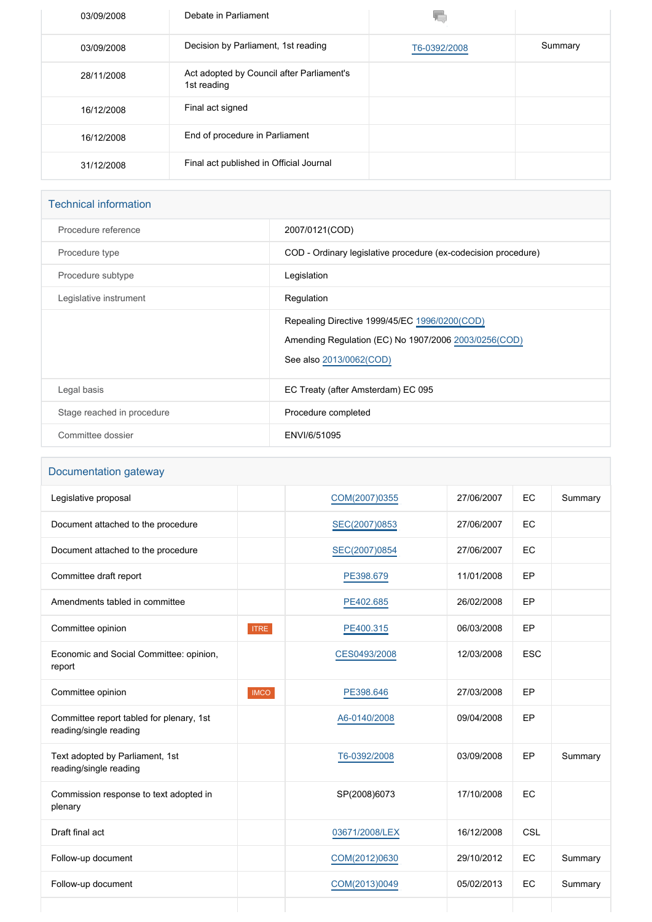| 03/09/2008 | Debate in Parliament                                     |              |         |
|------------|----------------------------------------------------------|--------------|---------|
| 03/09/2008 | Decision by Parliament, 1st reading                      | T6-0392/2008 | Summary |
| 28/11/2008 | Act adopted by Council after Parliament's<br>1st reading |              |         |
| 16/12/2008 | Final act signed                                         |              |         |
| 16/12/2008 | End of procedure in Parliament                           |              |         |
| 31/12/2008 | Final act published in Official Journal                  |              |         |

## Technical information

| Procedure reference        | 2007/0121(COD)                                                                                                                   |
|----------------------------|----------------------------------------------------------------------------------------------------------------------------------|
| Procedure type             | COD - Ordinary legislative procedure (ex-codecision procedure)                                                                   |
| Procedure subtype          | Legislation                                                                                                                      |
| Legislative instrument     | Regulation                                                                                                                       |
|                            | Repealing Directive 1999/45/EC 1996/0200(COD)<br>Amending Regulation (EC) No 1907/2006 2003/0256(COD)<br>See also 2013/0062(COD) |
| Legal basis                | EC Treaty (after Amsterdam) EC 095                                                                                               |
| Stage reached in procedure | Procedure completed                                                                                                              |
| Committee dossier          | ENVI/6/51095                                                                                                                     |

## Documentation gateway

| Legislative proposal                                               |             | COM(2007)0355  | 27/06/2007 | EC         | Summary |
|--------------------------------------------------------------------|-------------|----------------|------------|------------|---------|
| Document attached to the procedure                                 |             | SEC(2007)0853  | 27/06/2007 | EC         |         |
| Document attached to the procedure                                 |             | SEC(2007)0854  | 27/06/2007 | EC         |         |
| Committee draft report                                             |             | PE398.679      | 11/01/2008 | EP         |         |
| Amendments tabled in committee                                     |             | PE402.685      | 26/02/2008 | EP         |         |
| Committee opinion                                                  | <b>ITRE</b> | PE400.315      | 06/03/2008 | <b>EP</b>  |         |
| Economic and Social Committee: opinion,<br>report                  |             | CES0493/2008   | 12/03/2008 | <b>ESC</b> |         |
| Committee opinion                                                  | <b>IMCO</b> | PE398.646      | 27/03/2008 | EP         |         |
| Committee report tabled for plenary, 1st<br>reading/single reading |             | A6-0140/2008   | 09/04/2008 | EP         |         |
| Text adopted by Parliament, 1st<br>reading/single reading          |             | T6-0392/2008   | 03/09/2008 | EP         | Summary |
| Commission response to text adopted in<br>plenary                  |             | SP(2008)6073   | 17/10/2008 | EC         |         |
| Draft final act                                                    |             | 03671/2008/LEX | 16/12/2008 | CSL        |         |
| Follow-up document                                                 |             | COM(2012)0630  | 29/10/2012 | EC         | Summary |
| Follow-up document                                                 |             | COM(2013)0049  | 05/02/2013 | EC         | Summary |
|                                                                    |             |                |            |            |         |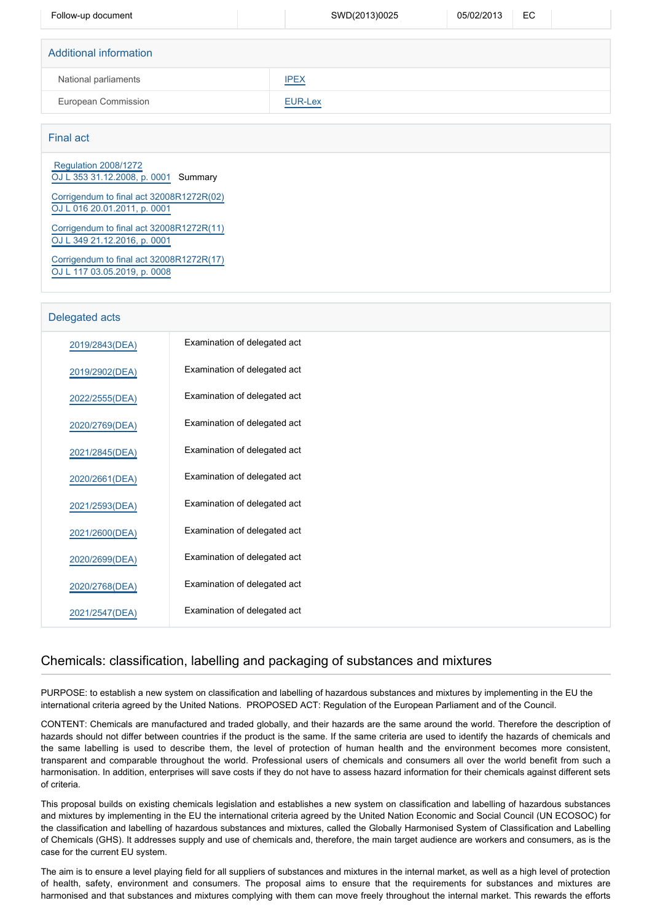| Follow-up document     | SWD(2013)0025  | EC.<br>05/02/2013 |
|------------------------|----------------|-------------------|
|                        |                |                   |
| Additional information |                |                   |
| National parliaments   | <b>IPEX</b>    |                   |
| European Commission    | <b>EUR-Lex</b> |                   |
|                        |                |                   |

### Final act

 [Regulation 2008/1272](https://eur-lex.europa.eu/smartapi/cgi/sga_doc?smartapi!celexplus!prod!CELEXnumdoc&lg=EN&numdoc=32008R1272) [OJ L 353 31.12.2008, p. 0001](https://eur-lex.europa.eu/legal-content/EN/TXT/?uri=OJ:L:2008:353:TOC) Summary

[Corrigendum to final act 32008R1272R\(02\)](https://eur-lex.europa.eu/LexUriServ/LexUriServ.do?uri=CELEX:[%SECTOR]2008[%DESCRIPTOR]3127202:EN:NOT) [OJ L 016 20.01.2011, p. 0001](https://eur-lex.europa.eu/legal-content/EN/TXT/?uri=OJ:L:2011:016:TOC)

[Corrigendum to final act 32008R1272R\(11\)](https://eur-lex.europa.eu/smartapi/cgi/sga_doc?smartapi!celexapi!prod!CELEXnumdoc&lg=EN&model=guicheti&numdoc=32008R1272R(11)) [OJ L 349 21.12.2016, p. 0001](https://eur-lex.europa.eu/legal-content/EN/TXT/?uri=OJ:L:2016:349:TOC)

[Corrigendum to final act 32008R1272R\(17\)](https://eur-lex.europa.eu/LexUriServ/LexUriServ.do?uri=CELEX:[%SECTOR]2019[%DESCRIPTOR]32008127217:EN:NOT) [OJ L 117 03.05.2019, p. 0008](https://eur-lex.europa.eu/legal-content/EN/TXT/?uri=OJ:L:2019:117:TOC)

| Delegated acts |                              |
|----------------|------------------------------|
| 2019/2843(DEA) | Examination of delegated act |
| 2019/2902(DEA) | Examination of delegated act |
| 2022/2555(DEA) | Examination of delegated act |
| 2020/2769(DEA) | Examination of delegated act |
| 2021/2845(DEA) | Examination of delegated act |
| 2020/2661(DEA) | Examination of delegated act |
| 2021/2593(DEA) | Examination of delegated act |
| 2021/2600(DEA) | Examination of delegated act |
| 2020/2699(DEA) | Examination of delegated act |
| 2020/2768(DEA) | Examination of delegated act |
| 2021/2547(DEA) | Examination of delegated act |

## Chemicals: classification, labelling and packaging of substances and mixtures

PURPOSE: to establish a new system on classification and labelling of hazardous substances and mixtures by implementing in the EU the international criteria agreed by the United Nations. PROPOSED ACT: Regulation of the European Parliament and of the Council.

CONTENT: Chemicals are manufactured and traded globally, and their hazards are the same around the world. Therefore the description of hazards should not differ between countries if the product is the same. If the same criteria are used to identify the hazards of chemicals and the same labelling is used to describe them, the level of protection of human health and the environment becomes more consistent, transparent and comparable throughout the world. Professional users of chemicals and consumers all over the world benefit from such a harmonisation. In addition, enterprises will save costs if they do not have to assess hazard information for their chemicals against different sets of criteria.

This proposal builds on existing chemicals legislation and establishes a new system on classification and labelling of hazardous substances and mixtures by implementing in the EU the international criteria agreed by the United Nation Economic and Social Council (UN ECOSOC) for the classification and labelling of hazardous substances and mixtures, called the Globally Harmonised System of Classification and Labelling of Chemicals (GHS). It addresses supply and use of chemicals and, therefore, the main target audience are workers and consumers, as is the case for the current EU system.

The aim is to ensure a level playing field for all suppliers of substances and mixtures in the internal market, as well as a high level of protection of health, safety, environment and consumers. The proposal aims to ensure that the requirements for substances and mixtures are harmonised and that substances and mixtures complying with them can move freely throughout the internal market. This rewards the efforts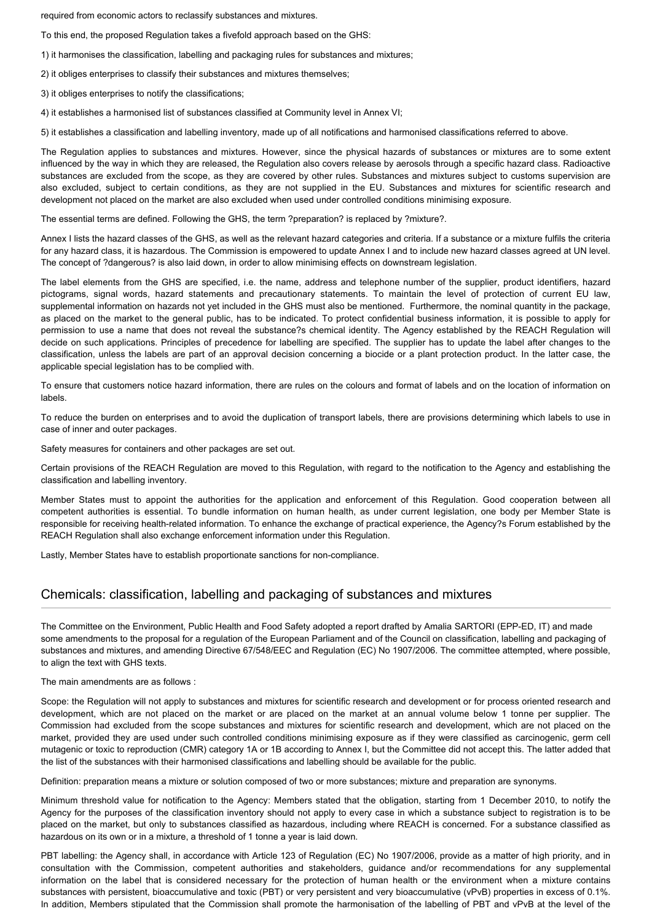required from economic actors to reclassify substances and mixtures.

To this end, the proposed Regulation takes a fivefold approach based on the GHS:

- 1) it harmonises the classification, labelling and packaging rules for substances and mixtures;
- 2) it obliges enterprises to classify their substances and mixtures themselves;
- 3) it obliges enterprises to notify the classifications;
- 4) it establishes a harmonised list of substances classified at Community level in Annex VI;

5) it establishes a classification and labelling inventory, made up of all notifications and harmonised classifications referred to above.

The Regulation applies to substances and mixtures. However, since the physical hazards of substances or mixtures are to some extent influenced by the way in which they are released, the Regulation also covers release by aerosols through a specific hazard class. Radioactive substances are excluded from the scope, as they are covered by other rules. Substances and mixtures subject to customs supervision are also excluded, subject to certain conditions, as they are not supplied in the EU. Substances and mixtures for scientific research and development not placed on the market are also excluded when used under controlled conditions minimising exposure.

The essential terms are defined. Following the GHS, the term ?preparation? is replaced by ?mixture?.

Annex I lists the hazard classes of the GHS, as well as the relevant hazard categories and criteria. If a substance or a mixture fulfils the criteria for any hazard class, it is hazardous. The Commission is empowered to update Annex I and to include new hazard classes agreed at UN level. The concept of ?dangerous? is also laid down, in order to allow minimising effects on downstream legislation.

The label elements from the GHS are specified, i.e. the name, address and telephone number of the supplier, product identifiers, hazard pictograms, signal words, hazard statements and precautionary statements. To maintain the level of protection of current EU law, supplemental information on hazards not yet included in the GHS must also be mentioned. Furthermore, the nominal quantity in the package, as placed on the market to the general public, has to be indicated. To protect confidential business information, it is possible to apply for permission to use a name that does not reveal the substance?s chemical identity. The Agency established by the REACH Regulation will decide on such applications. Principles of precedence for labelling are specified. The supplier has to update the label after changes to the classification, unless the labels are part of an approval decision concerning a biocide or a plant protection product. In the latter case, the applicable special legislation has to be complied with.

To ensure that customers notice hazard information, there are rules on the colours and format of labels and on the location of information on labels.

To reduce the burden on enterprises and to avoid the duplication of transport labels, there are provisions determining which labels to use in case of inner and outer packages.

Safety measures for containers and other packages are set out.

Certain provisions of the REACH Regulation are moved to this Regulation, with regard to the notification to the Agency and establishing the classification and labelling inventory.

Member States must to appoint the authorities for the application and enforcement of this Regulation. Good cooperation between all competent authorities is essential. To bundle information on human health, as under current legislation, one body per Member State is responsible for receiving health-related information. To enhance the exchange of practical experience, the Agency?s Forum established by the REACH Regulation shall also exchange enforcement information under this Regulation.

Lastly, Member States have to establish proportionate sanctions for non-compliance.

### Chemicals: classification, labelling and packaging of substances and mixtures

The Committee on the Environment, Public Health and Food Safety adopted a report drafted by Amalia SARTORI (EPP-ED, IT) and made some amendments to the proposal for a regulation of the European Parliament and of the Council on classification, labelling and packaging of substances and mixtures, and amending Directive 67/548/EEC and Regulation (EC) No 1907/2006. The committee attempted, where possible, to align the text with GHS texts.

The main amendments are as follows :

Scope: the Regulation will not apply to substances and mixtures for scientific research and development or for process oriented research and development, which are not placed on the market or are placed on the market at an annual volume below 1 tonne per supplier. The Commission had excluded from the scope substances and mixtures for scientific research and development, which are not placed on the market, provided they are used under such controlled conditions minimising exposure as if they were classified as carcinogenic, germ cell mutagenic or toxic to reproduction (CMR) category 1A or 1B according to Annex I, but the Committee did not accept this. The latter added that the list of the substances with their harmonised classifications and labelling should be available for the public.

Definition: preparation means a mixture or solution composed of two or more substances; mixture and preparation are synonyms.

Minimum threshold value for notification to the Agency: Members stated that the obligation, starting from 1 December 2010, to notify the Agency for the purposes of the classification inventory should not apply to every case in which a substance subject to registration is to be placed on the market, but only to substances classified as hazardous, including where REACH is concerned. For a substance classified as hazardous on its own or in a mixture, a threshold of 1 tonne a year is laid down.

PBT labelling: the Agency shall, in accordance with Article 123 of Regulation (EC) No 1907/2006, provide as a matter of high priority, and in consultation with the Commission, competent authorities and stakeholders, guidance and/or recommendations for any supplemental information on the label that is considered necessary for the protection of human health or the environment when a mixture contains substances with persistent, bioaccumulative and toxic (PBT) or very persistent and very bioaccumulative (vPvB) properties in excess of 0.1%. In addition, Members stipulated that the Commission shall promote the harmonisation of the labelling of PBT and vPvB at the level of the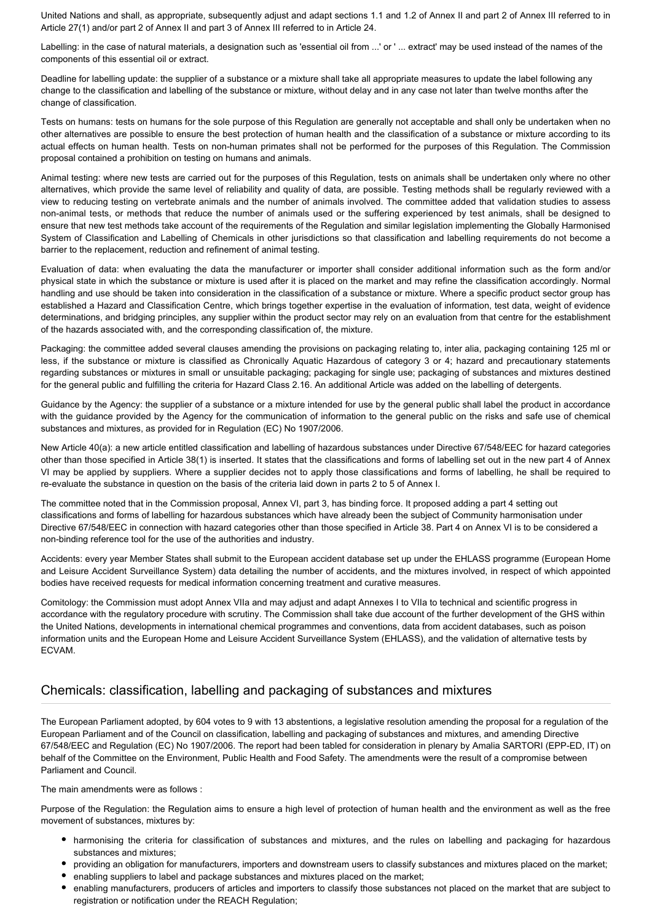United Nations and shall, as appropriate, subsequently adjust and adapt sections 1.1 and 1.2 of Annex II and part 2 of Annex III referred to in Article 27(1) and/or part 2 of Annex II and part 3 of Annex III referred to in Article 24.

Labelling: in the case of natural materials, a designation such as 'essential oil from ...' or ' ... extract' may be used instead of the names of the components of this essential oil or extract.

Deadline for labelling update: the supplier of a substance or a mixture shall take all appropriate measures to update the label following any change to the classification and labelling of the substance or mixture, without delay and in any case not later than twelve months after the change of classification.

Tests on humans: tests on humans for the sole purpose of this Regulation are generally not acceptable and shall only be undertaken when no other alternatives are possible to ensure the best protection of human health and the classification of a substance or mixture according to its actual effects on human health. Tests on non-human primates shall not be performed for the purposes of this Regulation. The Commission proposal contained a prohibition on testing on humans and animals.

Animal testing: where new tests are carried out for the purposes of this Regulation, tests on animals shall be undertaken only where no other alternatives, which provide the same level of reliability and quality of data, are possible. Testing methods shall be regularly reviewed with a view to reducing testing on vertebrate animals and the number of animals involved. The committee added that validation studies to assess non-animal tests, or methods that reduce the number of animals used or the suffering experienced by test animals, shall be designed to ensure that new test methods take account of the requirements of the Regulation and similar legislation implementing the Globally Harmonised System of Classification and Labelling of Chemicals in other jurisdictions so that classification and labelling requirements do not become a barrier to the replacement, reduction and refinement of animal testing.

Evaluation of data: when evaluating the data the manufacturer or importer shall consider additional information such as the form and/or physical state in which the substance or mixture is used after it is placed on the market and may refine the classification accordingly. Normal handling and use should be taken into consideration in the classification of a substance or mixture. Where a specific product sector group has established a Hazard and Classification Centre, which brings together expertise in the evaluation of information, test data, weight of evidence determinations, and bridging principles, any supplier within the product sector may rely on an evaluation from that centre for the establishment of the hazards associated with, and the corresponding classification of, the mixture.

Packaging: the committee added several clauses amending the provisions on packaging relating to, inter alia, packaging containing 125 ml or less, if the substance or mixture is classified as Chronically Aquatic Hazardous of category 3 or 4; hazard and precautionary statements regarding substances or mixtures in small or unsuitable packaging; packaging for single use; packaging of substances and mixtures destined for the general public and fulfilling the criteria for Hazard Class 2.16. An additional Article was added on the labelling of detergents.

Guidance by the Agency: the supplier of a substance or a mixture intended for use by the general public shall label the product in accordance with the guidance provided by the Agency for the communication of information to the general public on the risks and safe use of chemical substances and mixtures, as provided for in Regulation (EC) No 1907/2006.

New Article 40(a): a new article entitled classification and labelling of hazardous substances under Directive 67/548/EEC for hazard categories other than those specified in Article 38(1) is inserted. It states that the classifications and forms of labelling set out in the new part 4 of Annex VI may be applied by suppliers. Where a supplier decides not to apply those classifications and forms of labelling, he shall be required to re-evaluate the substance in question on the basis of the criteria laid down in parts 2 to 5 of Annex I.

The committee noted that in the Commission proposal, Annex VI, part 3, has binding force. It proposed adding a part 4 setting out classifications and forms of labelling for hazardous substances which have already been the subject of Community harmonisation under Directive 67/548/EEC in connection with hazard categories other than those specified in Article 38. Part 4 on Annex VI is to be considered a non-binding reference tool for the use of the authorities and industry.

Accidents: every year Member States shall submit to the European accident database set up under the EHLASS programme (European Home and Leisure Accident Surveillance System) data detailing the number of accidents, and the mixtures involved, in respect of which appointed bodies have received requests for medical information concerning treatment and curative measures.

Comitology: the Commission must adopt Annex VIIa and may adjust and adapt Annexes I to VIIa to technical and scientific progress in accordance with the regulatory procedure with scrutiny. The Commission shall take due account of the further development of the GHS within the United Nations, developments in international chemical programmes and conventions, data from accident databases, such as poison information units and the European Home and Leisure Accident Surveillance System (EHLASS), and the validation of alternative tests by ECVAM.

## Chemicals: classification, labelling and packaging of substances and mixtures

The European Parliament adopted, by 604 votes to 9 with 13 abstentions, a legislative resolution amending the proposal for a regulation of the European Parliament and of the Council on classification, labelling and packaging of substances and mixtures, and amending Directive 67/548/EEC and Regulation (EC) No 1907/2006. The report had been tabled for consideration in plenary by Amalia SARTORI (EPP-ED, IT) on behalf of the Committee on the Environment, Public Health and Food Safety. The amendments were the result of a compromise between Parliament and Council.

The main amendments were as follows :

Purpose of the Regulation: the Regulation aims to ensure a high level of protection of human health and the environment as well as the free movement of substances, mixtures by:

- harmonising the criteria for classification of substances and mixtures, and the rules on labelling and packaging for hazardous substances and mixtures;
- providing an obligation for manufacturers, importers and downstream users to classify substances and mixtures placed on the market;
- enabling suppliers to label and package substances and mixtures placed on the market;
- enabling manufacturers, producers of articles and importers to classify those substances not placed on the market that are subject to registration or notification under the REACH Regulation;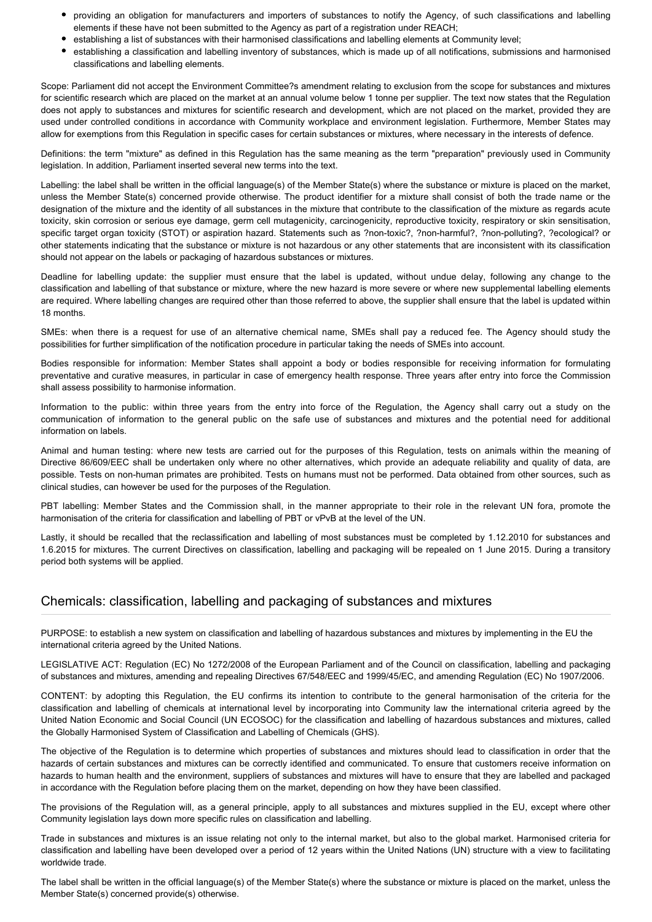- providing an obligation for manufacturers and importers of substances to notify the Agency, of such classifications and labelling elements if these have not been submitted to the Agency as part of a registration under REACH;
- establishing a list of substances with their harmonised classifications and labelling elements at Community level;
- establishing a classification and labelling inventory of substances, which is made up of all notifications, submissions and harmonised classifications and labelling elements.

Scope: Parliament did not accept the Environment Committee?s amendment relating to exclusion from the scope for substances and mixtures for scientific research which are placed on the market at an annual volume below 1 tonne per supplier. The text now states that the Regulation does not apply to substances and mixtures for scientific research and development, which are not placed on the market, provided they are used under controlled conditions in accordance with Community workplace and environment legislation. Furthermore, Member States may allow for exemptions from this Regulation in specific cases for certain substances or mixtures, where necessary in the interests of defence.

Definitions: the term "mixture" as defined in this Regulation has the same meaning as the term "preparation" previously used in Community legislation. In addition, Parliament inserted several new terms into the text.

Labelling: the label shall be written in the official language(s) of the Member State(s) where the substance or mixture is placed on the market, unless the Member State(s) concerned provide otherwise. The product identifier for a mixture shall consist of both the trade name or the designation of the mixture and the identity of all substances in the mixture that contribute to the classification of the mixture as regards acute toxicity, skin corrosion or serious eye damage, germ cell mutagenicity, carcinogenicity, reproductive toxicity, respiratory or skin sensitisation, specific target organ toxicity (STOT) or aspiration hazard. Statements such as ?non-toxic?, ?non-harmful?, ?non-polluting?, ?ecological? or other statements indicating that the substance or mixture is not hazardous or any other statements that are inconsistent with its classification should not appear on the labels or packaging of hazardous substances or mixtures.

Deadline for labelling update: the supplier must ensure that the label is updated, without undue delay, following any change to the classification and labelling of that substance or mixture, where the new hazard is more severe or where new supplemental labelling elements are required. Where labelling changes are required other than those referred to above, the supplier shall ensure that the label is updated within 18 months.

SMEs: when there is a request for use of an alternative chemical name, SMEs shall pay a reduced fee. The Agency should study the possibilities for further simplification of the notification procedure in particular taking the needs of SMEs into account.

Bodies responsible for information: Member States shall appoint a body or bodies responsible for receiving information for formulating preventative and curative measures, in particular in case of emergency health response. Three years after entry into force the Commission shall assess possibility to harmonise information.

Information to the public: within three years from the entry into force of the Regulation, the Agency shall carry out a study on the communication of information to the general public on the safe use of substances and mixtures and the potential need for additional information on labels.

Animal and human testing: where new tests are carried out for the purposes of this Regulation, tests on animals within the meaning of Directive 86/609/EEC shall be undertaken only where no other alternatives, which provide an adequate reliability and quality of data, are possible. Tests on non-human primates are prohibited. Tests on humans must not be performed. Data obtained from other sources, such as clinical studies, can however be used for the purposes of the Regulation.

PBT labelling: Member States and the Commission shall, in the manner appropriate to their role in the relevant UN fora, promote the harmonisation of the criteria for classification and labelling of PBT or vPvB at the level of the UN.

Lastly, it should be recalled that the reclassification and labelling of most substances must be completed by 1.12.2010 for substances and 1.6.2015 for mixtures. The current Directives on classification, labelling and packaging will be repealed on 1 June 2015. During a transitory period both systems will be applied.

## Chemicals: classification, labelling and packaging of substances and mixtures

PURPOSE: to establish a new system on classification and labelling of hazardous substances and mixtures by implementing in the EU the international criteria agreed by the United Nations.

LEGISLATIVE ACT: Regulation (EC) No 1272/2008 of the European Parliament and of the Council on classification, labelling and packaging of substances and mixtures, amending and repealing Directives 67/548/EEC and 1999/45/EC, and amending Regulation (EC) No 1907/2006.

CONTENT: by adopting this Regulation, the EU confirms its intention to contribute to the general harmonisation of the criteria for the classification and labelling of chemicals at international level by incorporating into Community law the international criteria agreed by the United Nation Economic and Social Council (UN ECOSOC) for the classification and labelling of hazardous substances and mixtures, called the Globally Harmonised System of Classification and Labelling of Chemicals (GHS).

The objective of the Regulation is to determine which properties of substances and mixtures should lead to classification in order that the hazards of certain substances and mixtures can be correctly identified and communicated. To ensure that customers receive information on hazards to human health and the environment, suppliers of substances and mixtures will have to ensure that they are labelled and packaged in accordance with the Regulation before placing them on the market, depending on how they have been classified.

The provisions of the Regulation will, as a general principle, apply to all substances and mixtures supplied in the EU, except where other Community legislation lays down more specific rules on classification and labelling.

Trade in substances and mixtures is an issue relating not only to the internal market, but also to the global market. Harmonised criteria for classification and labelling have been developed over a period of 12 years within the United Nations (UN) structure with a view to facilitating worldwide trade.

The label shall be written in the official language(s) of the Member State(s) where the substance or mixture is placed on the market, unless the Member State(s) concerned provide(s) otherwise.